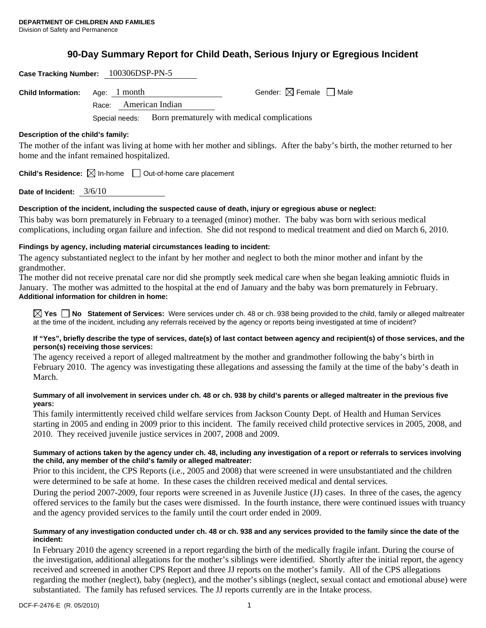# **90-Day Summary Report for Child Death, Serious Injury or Egregious Incident**

| Case Tracking Number: 100306DSP-PN-5       |                |                 |                                             |                                                                                                                              |  |
|--------------------------------------------|----------------|-----------------|---------------------------------------------|------------------------------------------------------------------------------------------------------------------------------|--|
| <b>Child Information:</b>                  | Age: 1 month   |                 |                                             | Gender: $\boxtimes$ Female $\Box$ Male                                                                                       |  |
|                                            | Race:          | American Indian |                                             |                                                                                                                              |  |
|                                            | Special needs: |                 | Born prematurely with medical complications |                                                                                                                              |  |
| Description of the child's family:         |                |                 |                                             |                                                                                                                              |  |
|                                            |                |                 |                                             | The mother of the infant was living at home with her mother and siblings. After the baby's birth, the mother returned to her |  |
| home and the infant remained hospitalized. |                |                 |                                             |                                                                                                                              |  |

**Child's Residence:**  $\boxtimes$  In-home  $\Box$  Out-of-home care placement

**Date of Incident:** 3/6/10

## **Description of the incident, including the suspected cause of death, injury or egregious abuse or neglect:**

This baby was born prematurely in February to a teenaged (minor) mother. The baby was born with serious medical complications, including organ failure and infection. She did not respond to medical treatment and died on March 6, 2010.

# **Findings by agency, including material circumstances leading to incident:**

The agency substantiated neglect to the infant by her mother and neglect to both the minor mother and infant by the grandmother.

The mother did not receive prenatal care nor did she promptly seek medical care when she began leaking amniotic fluids in January. The mother was admitted to the hospital at the end of January and the baby was born prematurely in February. **Additional information for children in home:** 

**Yes No Statement of Services:** Were services under ch. 48 or ch. 938 being provided to the child, family or alleged maltreater at the time of the incident, including any referrals received by the agency or reports being investigated at time of incident?

## **If "Yes", briefly describe the type of services, date(s) of last contact between agency and recipient(s) of those services, and the person(s) receiving those services:**

The agency received a report of alleged maltreatment by the mother and grandmother following the baby's birth in February 2010. The agency was investigating these allegations and assessing the family at the time of the baby's death in March.

## **Summary of all involvement in services under ch. 48 or ch. 938 by child's parents or alleged maltreater in the previous five years:**

This family intermittently received child welfare services from Jackson County Dept. of Health and Human Services starting in 2005 and ending in 2009 prior to this incident. The family received child protective services in 2005, 2008, and 2010. They received juvenile justice services in 2007, 2008 and 2009.

# **Summary of actions taken by the agency under ch. 48, including any investigation of a report or referrals to services involving the child, any member of the child's family or alleged maltreater:**

Prior to this incident, the CPS Reports (i.e., 2005 and 2008) that were screened in were unsubstantiated and the children were determined to be safe at home. In these cases the children received medical and dental services.

During the period 2007-2009, four reports were screened in as Juvenile Justice (JJ) cases. In three of the cases, the agency offered services to the family but the cases were dismissed. In the fourth instance, there were continued issues with truancy and the agency provided services to the family until the court order ended in 2009.

## **Summary of any investigation conducted under ch. 48 or ch. 938 and any services provided to the family since the date of the incident:**

In February 2010 the agency screened in a report regarding the birth of the medically fragile infant. During the course of the investigation, additional allegations for the mother's siblings were identified. Shortly after the initial report, the agency received and screened in another CPS Report and three JJ reports on the mother's family. All of the CPS allegations regarding the mother (neglect), baby (neglect), and the mother's siblings (neglect, sexual contact and emotional abuse) were substantiated. The family has refused services. The JJ reports currently are in the Intake process.